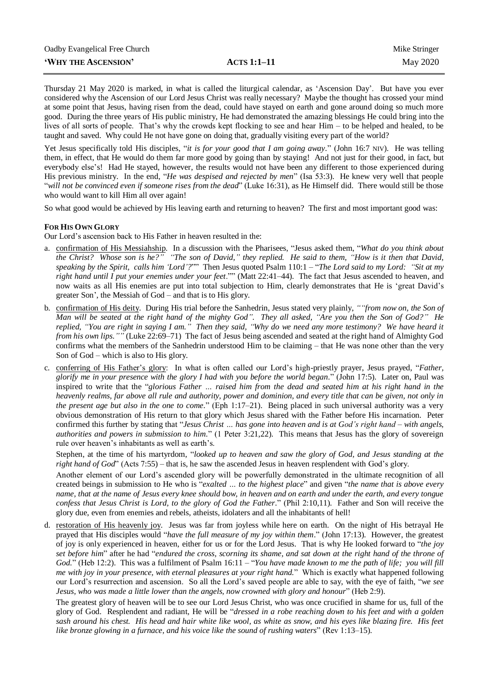## **THE ASCENSION**<br> **ACTS 1:1–11** May 2020

Thursday 21 May 2020 is marked, in what is called the liturgical calendar, as 'Ascension Day'. But have you ever considered why the Ascension of our Lord Jesus Christ was really necessary? Maybe the thought has crossed your mind at some point that Jesus, having risen from the dead, could have stayed on earth and gone around doing so much more good. During the three years of His public ministry, He had demonstrated the amazing blessings He could bring into the lives of all sorts of people. That's why the crowds kept flocking to see and hear Him – to be helped and healed, to be taught and saved. Why could He not have gone on doing that, gradually visiting every part of the world?

Yet Jesus specifically told His disciples, "*it is for your good that I am going away*." (John 16:7 NIV). He was telling them, in effect, that He would do them far more good by going than by staying! And not just for their good, in fact, but everybody else's! Had He stayed, however, the results would not have been any different to those experienced during His previous ministry. In the end, "*He was despised and rejected by men*" (Isa 53:3). He knew very well that people "*will not be convinced even if someone rises from the dead*" (Luke 16:31), as He Himself did. There would still be those who would want to kill Him all over again!

So what good would be achieved by His leaving earth and returning to heaven? The first and most important good was:

## **FOR HIS OWN GLORY**

Our Lord's ascension back to His Father in heaven resulted in the:

- a. confirmation of His Messiahship. In a discussion with the Pharisees, "Jesus asked them, "*What do you think about the Christ? Whose son is he?" "The son of David," they replied. He said to them, "How is it then that David, speaking by the Spirit, calls him 'Lord'?*"" Then Jesus quoted Psalm 110:1 – "*The Lord said to my Lord: "Sit at my right hand until I put your enemies under your feet*."" (Matt 22:41–44). The fact that Jesus ascended to heaven, and now waits as all His enemies are put into total subjection to Him, clearly demonstrates that He is 'great David's greater Son', the Messiah of God – and that is to His glory.
- b. confirmation of His deity. During His trial before the Sanhedrin, Jesus stated very plainly, *""from now on, the Son of Man will be seated at the right hand of the mighty God". They all asked, "Are you then the Son of God?" He replied, "You are right in saying I am." Then they said, "Why do we need any more testimony? We have heard it from his own lips.""* (Luke 22:69–71) The fact of Jesus being ascended and seated at the right hand of Almighty God confirms what the members of the Sanhedrin understood Him to be claiming – that He was none other than the very Son of God – which is also to His glory.
- c. conferring of His Father's glory: In what is often called our Lord's high-priestly prayer, Jesus prayed, "*Father, glorify me in your presence with the glory I had with you before the world began.*" (John 17:5). Later on, Paul was inspired to write that the "*glorious Father … raised him from the dead and seated him at his right hand in the heavenly realms, far above all rule and authority, power and dominion, and every title that can be given, not only in the present age but also in the one to come.*" (Eph 1:17–21). Being placed in such universal authority was a very obvious demonstration of His return to that glory which Jesus shared with the Father before His incarnation. Peter confirmed this further by stating that "*Jesus Christ … has gone into heaven and is at God's right hand – with angels, authorities and powers in submission to him.*" (1 Peter 3:21,22). This means that Jesus has the glory of sovereign rule over heaven's inhabitants as well as earth's.

Stephen, at the time of his martyrdom, "*looked up to heaven and saw the glory of God, and Jesus standing at the right hand of God*" (Acts 7:55) – that is, he saw the ascended Jesus in heaven resplendent with God's glory.

Another element of our Lord's ascended glory will be powerfully demonstrated in the ultimate recognition of all created beings in submission to He who is "*exalted … to the highest place*" and given "*the name that is above every name, that at the name of Jesus every knee should bow, in heaven and on earth and under the earth, and every tongue confess that Jesus Christ is Lord, to the glory of God the Father.*" (Phil 2:10,11). Father and Son will receive the glory due, even from enemies and rebels, atheists, idolaters and all the inhabitants of hell!

d. restoration of His heavenly joy. Jesus was far from joyless while here on earth. On the night of His betrayal He prayed that His disciples would "*have the full measure of my joy within them*." (John 17:13). However, the greatest of joy is only experienced in heaven, either for us or for the Lord Jesus. That is why He looked forward to "*the joy set before him*" after he had "*endured the cross, scorning its shame, and sat down at the right hand of the throne of God.*" (Heb 12:2). This was a fulfilment of Psalm 16:11 – "*You have made known to me the path of life; you will fill me with joy in your presence, with eternal pleasures at your right hand.*" Which is exactly what happened following our Lord's resurrection and ascension. So all the Lord's saved people are able to say, with the eye of faith, "*we see Jesus, who was made a little lower than the angels, now crowned with glory and honour*" (Heb 2:9).

The greatest glory of heaven will be to see our Lord Jesus Christ, who was once crucified in shame for us, full of the glory of God. Resplendent and radiant, He will be "*dressed in a robe reaching down to his feet and with a golden sash around his chest. His head and hair white like wool, as white as snow, and his eyes like blazing fire. His feet like bronze glowing in a furnace, and his voice like the sound of rushing waters*" (Rev 1:13–15).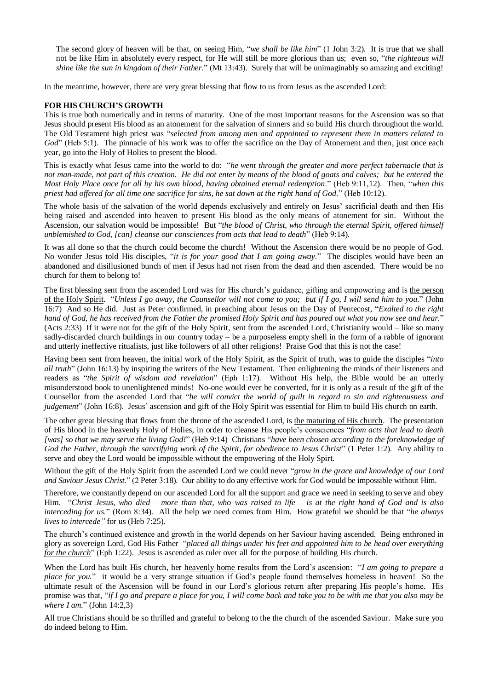The second glory of heaven will be that, on seeing Him, "*we shall be like him*" (1 John 3:2). It is true that we shall not be like Him in absolutely every respect, for He will still be more glorious than us; even so, "*the righteous will shine like the sun in kingdom of their Father.*" (Mt 13:43). Surely that will be unimaginably so amazing and exciting!

In the meantime, however, there are very great blessing that flow to us from Jesus as the ascended Lord:

## **FOR HIS CHURCH'S GROWTH**

This is true both numerically and in terms of maturity. One of the most important reasons for the Ascension was so that Jesus should present His blood as an atonement for the salvation of sinners and so build His church throughout the world. The Old Testament high priest was "*selected from among men and appointed to represent them in matters related to God*" (Heb 5:1). The pinnacle of his work was to offer the sacrifice on the Day of Atonement and then, just once each year, go into the Holy of Holies to present the blood.

This is exactly what Jesus came into the world to do: "*he went through the greater and more perfect tabernacle that is not man-made, not part of this creation. He did not enter by means of the blood of goats and calves; but he entered the Most Holy Place once for all by his own blood, having obtained eternal redemption.*" (Heb 9:11,12). Then, "*when this priest had offered for all time one sacrifice for sins, he sat down at the right hand of God.*" (Heb 10:12).

The whole basis of the salvation of the world depends exclusively and entirely on Jesus' sacrificial death and then His being raised and ascended into heaven to present His blood as the only means of atonement for sin. Without the Ascension, our salvation would be impossible! But "*the blood of Christ, who through the eternal Spirit, offered himself unblemished to God, [can] cleanse our consciences from acts that lead to death*" (Heb 9:14).

It was all done so that the church could become the church! Without the Ascension there would be no people of God. No wonder Jesus told His disciples, "*it is for your good that I am going away.*" The disciples would have been an abandoned and disillusioned bunch of men if Jesus had not risen from the dead and then ascended. There would be no church for them to belong to!

The first blessing sent from the ascended Lord was for His church's guidance, gifting and empowering and is the person of the Holy Spirit. "*Unless I go away, the Counsellor will not come to you; but if I go, I will send him to you.*" (John 16:7) And so He did. Just as Peter confirmed, in preaching about Jesus on the Day of Pentecost, "*Exalted to the right hand of God, he has received from the Father the promised Holy Spirit and has poured out what you now see and hear.*" (Acts 2:33) If it were not for the gift of the Holy Spirit, sent from the ascended Lord, Christianity would – like so many sadly-discarded church buildings in our country today – be a purposeless empty shell in the form of a rabble of ignorant and utterly ineffective ritualists, just like followers of all other religions! Praise God that this is not the case!

Having been sent from heaven, the initial work of the Holy Spirit, as the Spirit of truth, was to guide the disciples "*into all truth*" (John 16:13) by inspiring the writers of the New Testament. Then enlightening the minds of their listeners and readers as "*the Spirit of wisdom and revelation*" (Eph 1:17). Without His help, the Bible would be an utterly misunderstood book to unenlightened minds! No-one would ever be converted, for it is only as a result of the gift of the Counsellor from the ascended Lord that "*he will convict the world of guilt in regard to sin and righteousness and judgement*" (John 16:8). Jesus' ascension and gift of the Holy Spirit was essential for Him to build His church on earth.

The other great blessing that flows from the throne of the ascended Lord, is the maturing of His church. The presentation of His blood in the heavenly Holy of Holies, in order to cleanse His people's consciences "*from acts that lead to death [was] so that we may serve the living God!*" (Heb 9:14) Christians "*have been chosen according to the foreknowledge of God the Father, through the sanctifying work of the Spirit, for obedience to Jesus Christ*" (1 Peter 1:2). Any ability to serve and obey the Lord would be impossible without the empowering of the Holy Spirt.

Without the gift of the Holy Spirit from the ascended Lord we could never "*grow in the grace and knowledge of our Lord and Saviour Jesus Christ.*" (2 Peter 3:18). Our ability to do any effective work for God would be impossible without Him.

Therefore, we constantly depend on our ascended Lord for all the support and grace we need in seeking to serve and obey Him. "*Christ Jesus, who died – more than that, who was raised to life – is at the right hand of God and is also interceding for us.*" (Rom 8:34). All the help we need comes from Him. How grateful we should be that "*he always lives to intercede"* for us (Heb 7:25).

The church's continued existence and growth in the world depends on her Saviour having ascended. Being enthroned in glory as sovereign Lord, God His Father "*placed all things under his feet and appointed him to be head over everything for the church*" (Eph 1:22). Jesus is ascended as ruler over all for the purpose of building His church.

When the Lord has built His church, her heavenly home results from the Lord's ascension: "*I am going to prepare a place for you.*" it would be a very strange situation if God's people found themselves homeless in heaven! So the ultimate result of the Ascension will be found in our Lord's glorious return after preparing His people's home. His promise was that, "*if I go and prepare a place for you, I will come back and take you to be with me that you also may be where I am.*" (John 14:2,3)

All true Christians should be so thrilled and grateful to belong to the the church of the ascended Saviour. Make sure you do indeed belong to Him.